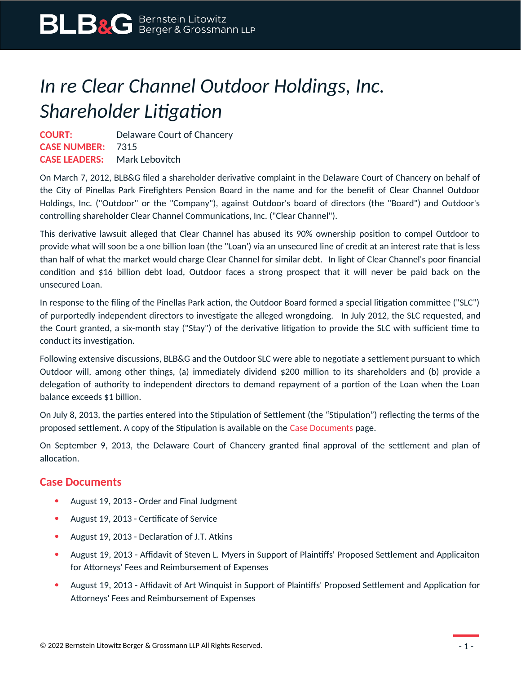## *In re Clear Channel Outdoor Holdings, Inc. Shareholder Litigation*

**COURT:** Delaware Court of Chancery **CASE NUMBER:** 7315 **CASE LEADERS:** Mark Lebovitch

On March 7, 2012, BLB&G filed a shareholder derivative complaint in the Delaware Court of Chancery on behalf of the City of Pinellas Park Firefighters Pension Board in the name and for the benefit of Clear Channel Outdoor Holdings, Inc. ("Outdoor" or the "Company"), against Outdoor's board of directors (the "Board") and Outdoor's controlling shareholder Clear Channel Communications, Inc. ("Clear Channel").

This derivative lawsuit alleged that Clear Channel has abused its 90% ownership position to compel Outdoor to provide what will soon be a one billion loan (the "Loan') via an unsecured line of credit at an interest rate that is less than half of what the market would charge Clear Channel for similar debt. In light of Clear Channel's poor financial condition and \$16 billion debt load, Outdoor faces a strong prospect that it will never be paid back on the unsecured Loan.

In response to the filing of the Pinellas Park action, the Outdoor Board formed a special litigation committee ("SLC") of purportedly independent directors to investigate the alleged wrongdoing. In July 2012, the SLC requested, and the Court granted, a six-month stay ("Stay") of the derivative litigation to provide the SLC with sufficient time to conduct its investigation.

Following extensive discussions, BLB&G and the Outdoor SLC were able to negotiate a settlement pursuant to which Outdoor will, among other things, (a) immediately dividend \$200 million to its shareholders and (b) provide a delegation of authority to independent directors to demand repayment of a portion of the Loan when the Loan balance exceeds \$1 billion.

On July 8, 2013, the parties entered into the Stipulation of Settlement (the "Stipulation") reflecting the terms of the proposed settlement. A copy of the Stipulation is available on the [Case Documents](https://www.blbglaw.com/cases/00195?viewDocs=1) page.

On September 9, 2013, the Delaware Court of Chancery granted final approval of the settlement and plan of allocation.

## **Case Documents**

- August 19, 2013 Order and Final Judgment
- August 19, 2013 Certificate of Service
- August 19, 2013 Declaration of J.T. Atkins
- August 19, 2013 Affidavit of Steven L. Myers in Support of Plaintiffs' Proposed Settlement and Applicaiton for Attorneys' Fees and Reimbursement of Expenses
- August 19, 2013 Affidavit of Art Winquist in Support of Plaintiffs' Proposed Settlement and Application for Attorneys' Fees and Reimbursement of Expenses